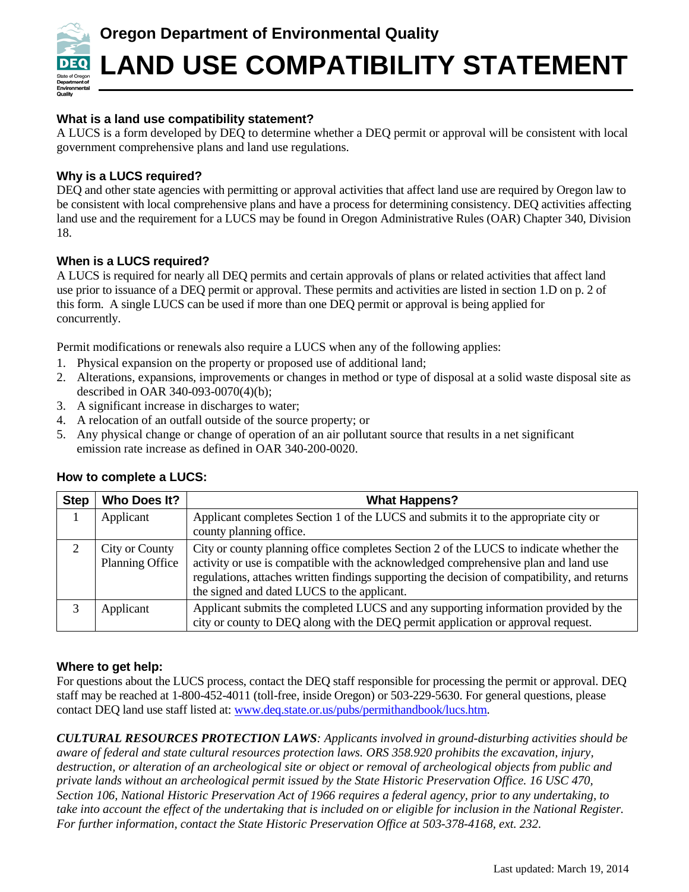

# **Oregon Department of Environmental Quality**

# **LAND USE COMPATIBILITY STATEMENT**

# **What is a land use compatibility statement?**

A LUCS is a form developed by DEQ to determine whether a DEQ permit or approval will be consistent with local government comprehensive plans and land use regulations.

# **Why is a LUCS required?**

DEQ and other state agencies with permitting or approval activities that affect land use are required by Oregon law to be consistent with local comprehensive plans and have a process for determining consistency. DEQ activities affecting land use and the requirement for a LUCS may be found in Oregon Administrative Rules (OAR) Chapter 340, Division 18.

#### **When is a LUCS required?**

A LUCS is required for nearly all DEQ permits and certain approvals of plans or related activities that affect land use prior to issuance of a DEQ permit or approval. These permits and activities are listed in section 1.D on p. 2 of this form. A single LUCS can be used if more than one DEQ permit or approval is being applied for concurrently.

Permit modifications or renewals also require a LUCS when any of the following applies:

- 1. Physical expansion on the property or proposed use of additional land;
- 2. Alterations, expansions, improvements or changes in method or type of disposal at a solid waste disposal site as described in OAR 340-093-0070(4)(b);
- 3. A significant increase in discharges to water;
- 4. A relocation of an outfall outside of the source property; or
- 5. Any physical change or change of operation of an air pollutant source that results in a net significant emission rate increase as defined in OAR 340-200-0020.

| <b>Step</b>   | Who Does It?                             | <b>What Happens?</b>                                                                                                                                                                                                                                                                                                         |
|---------------|------------------------------------------|------------------------------------------------------------------------------------------------------------------------------------------------------------------------------------------------------------------------------------------------------------------------------------------------------------------------------|
|               | Applicant                                | Applicant completes Section 1 of the LUCS and submits it to the appropriate city or<br>county planning office.                                                                                                                                                                                                               |
| $\mathcal{D}$ | City or County<br><b>Planning Office</b> | City or county planning office completes Section 2 of the LUCS to indicate whether the<br>activity or use is compatible with the acknowledged comprehensive plan and land use<br>regulations, attaches written findings supporting the decision of compatibility, and returns<br>the signed and dated LUCS to the applicant. |
| 3             | Applicant                                | Applicant submits the completed LUCS and any supporting information provided by the<br>city or county to DEQ along with the DEQ permit application or approval request.                                                                                                                                                      |

# **How to complete a LUCS:**

# **Where to get help:**

For questions about the LUCS process, contact the DEQ staff responsible for processing the permit or approval. DEQ staff may be reached at 1-800-452-4011 (toll-free, inside Oregon) or 503-229-5630. For general questions, please contact DEQ land use staff listed at: [www.deq.state.or.us/pubs/permithandbook/lucs.htm.](http://www.deq.state.or.us/pubs/permithandbook/lucs.htm)

*CULTURAL RESOURCES PROTECTION LAWS: Applicants involved in ground-disturbing activities should be aware of federal and state cultural resources protection laws. ORS 358.920 prohibits the excavation, injury, destruction, or alteration of an archeological site or object or removal of archeological objects from public and private lands without an archeological permit issued by the State Historic Preservation Office. 16 USC 470, Section 106, National Historic Preservation Act of 1966 requires a federal agency, prior to any undertaking, to take into account the effect of the undertaking that is included on or eligible for inclusion in the National Register. For further information, contact the State Historic Preservation Office at 503-378-4168, ext. 232.*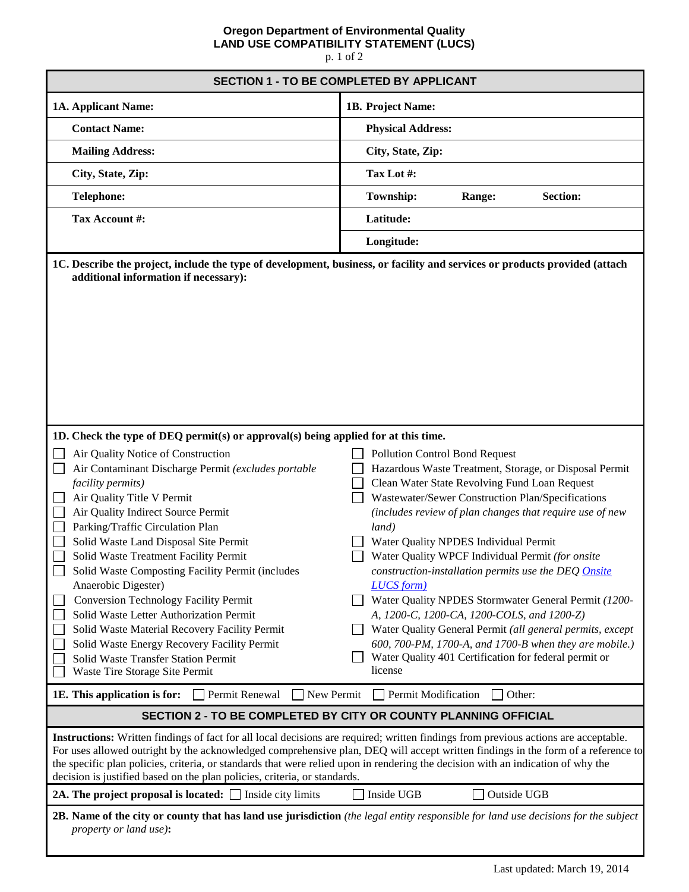#### **Oregon Department of Environmental Quality LAND USE COMPATIBILITY STATEMENT (LUCS)**

p. 1 of 2

| <b>SECTION 1 - TO BE COMPLETED BY APPLICANT</b>                                                                                                                                                                                                                                                                                                                                                                                                                                                                                                                                                                                                                                                                                                                                                               |                                                                                                                                                                                                                                                                                                                                                                                                                                                                                                                                                                                                                                                                                                                                                                                        |  |  |  |
|---------------------------------------------------------------------------------------------------------------------------------------------------------------------------------------------------------------------------------------------------------------------------------------------------------------------------------------------------------------------------------------------------------------------------------------------------------------------------------------------------------------------------------------------------------------------------------------------------------------------------------------------------------------------------------------------------------------------------------------------------------------------------------------------------------------|----------------------------------------------------------------------------------------------------------------------------------------------------------------------------------------------------------------------------------------------------------------------------------------------------------------------------------------------------------------------------------------------------------------------------------------------------------------------------------------------------------------------------------------------------------------------------------------------------------------------------------------------------------------------------------------------------------------------------------------------------------------------------------------|--|--|--|
| 1A. Applicant Name:                                                                                                                                                                                                                                                                                                                                                                                                                                                                                                                                                                                                                                                                                                                                                                                           | 1B. Project Name:                                                                                                                                                                                                                                                                                                                                                                                                                                                                                                                                                                                                                                                                                                                                                                      |  |  |  |
| <b>Contact Name:</b>                                                                                                                                                                                                                                                                                                                                                                                                                                                                                                                                                                                                                                                                                                                                                                                          | <b>Physical Address:</b>                                                                                                                                                                                                                                                                                                                                                                                                                                                                                                                                                                                                                                                                                                                                                               |  |  |  |
| <b>Mailing Address:</b>                                                                                                                                                                                                                                                                                                                                                                                                                                                                                                                                                                                                                                                                                                                                                                                       | City, State, Zip:                                                                                                                                                                                                                                                                                                                                                                                                                                                                                                                                                                                                                                                                                                                                                                      |  |  |  |
| City, State, Zip:                                                                                                                                                                                                                                                                                                                                                                                                                                                                                                                                                                                                                                                                                                                                                                                             | Tax Lot #:                                                                                                                                                                                                                                                                                                                                                                                                                                                                                                                                                                                                                                                                                                                                                                             |  |  |  |
| <b>Telephone:</b>                                                                                                                                                                                                                                                                                                                                                                                                                                                                                                                                                                                                                                                                                                                                                                                             | Township:<br><b>Section:</b><br>Range:                                                                                                                                                                                                                                                                                                                                                                                                                                                                                                                                                                                                                                                                                                                                                 |  |  |  |
| Tax Account #:                                                                                                                                                                                                                                                                                                                                                                                                                                                                                                                                                                                                                                                                                                                                                                                                | Latitude:                                                                                                                                                                                                                                                                                                                                                                                                                                                                                                                                                                                                                                                                                                                                                                              |  |  |  |
|                                                                                                                                                                                                                                                                                                                                                                                                                                                                                                                                                                                                                                                                                                                                                                                                               | Longitude:                                                                                                                                                                                                                                                                                                                                                                                                                                                                                                                                                                                                                                                                                                                                                                             |  |  |  |
| additional information if necessary):                                                                                                                                                                                                                                                                                                                                                                                                                                                                                                                                                                                                                                                                                                                                                                         | 1C. Describe the project, include the type of development, business, or facility and services or products provided (attach                                                                                                                                                                                                                                                                                                                                                                                                                                                                                                                                                                                                                                                             |  |  |  |
| 1D. Check the type of DEQ permit(s) or approval(s) being applied for at this time.<br>Air Quality Notice of Construction<br>Air Contaminant Discharge Permit (excludes portable<br>facility permits)<br>Air Quality Title V Permit<br>Air Quality Indirect Source Permit<br>Parking/Traffic Circulation Plan<br>Solid Waste Land Disposal Site Permit<br>Solid Waste Treatment Facility Permit<br>Solid Waste Composting Facility Permit (includes<br>Anaerobic Digester)<br><b>Conversion Technology Facility Permit</b><br>Solid Waste Letter Authorization Permit<br>Solid Waste Material Recovery Facility Permit<br>Solid Waste Energy Recovery Facility Permit<br>Solid Waste Transfer Station Permit<br>Waste Tire Storage Site Permit<br>Permit Renewal<br>New Permit<br>1E. This application is for: | <b>Pollution Control Bond Request</b><br>Hazardous Waste Treatment, Storage, or Disposal Permit<br>Clean Water State Revolving Fund Loan Request<br>Wastewater/Sewer Construction Plan/Specifications<br>(includes review of plan changes that require use of new<br>land)<br>Water Quality NPDES Individual Permit<br>Water Quality WPCF Individual Permit (for onsite<br>construction-installation permits use the DEQ Onsite<br><b>LUCS</b> form)<br>Water Quality NPDES Stormwater General Permit (1200-<br>A, 1200-C, 1200-CA, 1200-COLS, and 1200-Z)<br>Water Quality General Permit (all general permits, except<br>600, 700-PM, 1700-A, and 1700-B when they are mobile.)<br>Water Quality 401 Certification for federal permit or<br>license<br>Permit Modification<br>Other: |  |  |  |
| SECTION 2 - TO BE COMPLETED BY CITY OR COUNTY PLANNING OFFICIAL                                                                                                                                                                                                                                                                                                                                                                                                                                                                                                                                                                                                                                                                                                                                               |                                                                                                                                                                                                                                                                                                                                                                                                                                                                                                                                                                                                                                                                                                                                                                                        |  |  |  |
| <b>Instructions:</b> Written findings of fact for all local decisions are required; written findings from previous actions are acceptable.<br>For uses allowed outright by the acknowledged comprehensive plan, DEQ will accept written findings in the form of a reference to<br>the specific plan policies, criteria, or standards that were relied upon in rendering the decision with an indication of why the<br>decision is justified based on the plan policies, criteria, or standards.                                                                                                                                                                                                                                                                                                               |                                                                                                                                                                                                                                                                                                                                                                                                                                                                                                                                                                                                                                                                                                                                                                                        |  |  |  |
| 2A. The project proposal is located: $\Box$ Inside city limits                                                                                                                                                                                                                                                                                                                                                                                                                                                                                                                                                                                                                                                                                                                                                | Inside UGB<br>Outside UGB                                                                                                                                                                                                                                                                                                                                                                                                                                                                                                                                                                                                                                                                                                                                                              |  |  |  |
| 2B. Name of the city or county that has land use jurisdiction (the legal entity responsible for land use decisions for the subject<br>property or land use):                                                                                                                                                                                                                                                                                                                                                                                                                                                                                                                                                                                                                                                  |                                                                                                                                                                                                                                                                                                                                                                                                                                                                                                                                                                                                                                                                                                                                                                                        |  |  |  |